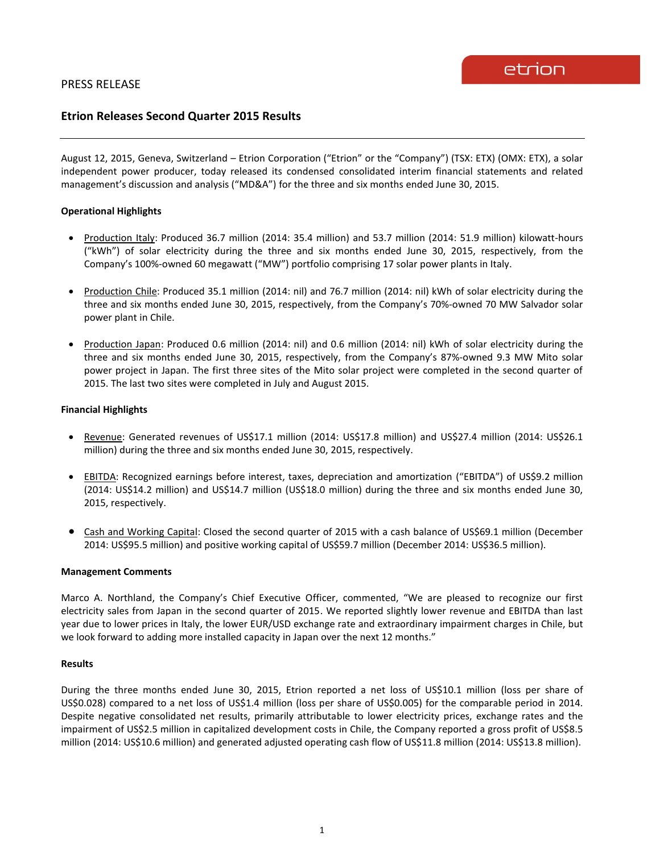# **Etrion Releases Second Quarter 2015 Results**

August 12, 2015, Geneva, Switzerland – Etrion Corporation ("Etrion" or the "Company") (TSX: ETX) (OMX: ETX), a solar independent power producer, today released its condensed consolidated interim financial statements and related management's discussion and analysis ("MD&A") for the three and six months ended June 30, 2015.

## **Operational Highlights**

- Production Italy: Produced 36.7 million (2014: 35.4 million) and 53.7 million (2014: 51.9 million) kilowatt-hours ("kWh") of solar electricity during the three and six months ended June 30, 2015, respectively, from the Company's 100%-owned 60 megawatt ("MW") portfolio comprising 17 solar power plants in Italy.
- Production Chile: Produced 35.1 million (2014: nil) and 76.7 million (2014: nil) kWh of solar electricity during the three and six months ended June 30, 2015, respectively, from the Company's 70%-owned 70 MW Salvador solar power plant in Chile.
- Production Japan: Produced 0.6 million (2014: nil) and 0.6 million (2014: nil) kWh of solar electricity during the three and six months ended June 30, 2015, respectively, from the Company's 87%-owned 9.3 MW Mito solar power project in Japan. The first three sites of the Mito solar project were completed in the second quarter of 2015. The last two sites were completed in July and August 2015.

### **Financial Highlights**

- Revenue: Generated revenues of US\$17.1 million (2014: US\$17.8 million) and US\$27.4 million (2014: US\$26.1 million) during the three and six months ended June 30, 2015, respectively.
- EBITDA: Recognized earnings before interest, taxes, depreciation and amortization ("EBITDA") of US\$9.2 million (2014: US\$14.2 million) and US\$14.7 million (US\$18.0 million) during the three and six months ended June 30, 2015, respectively.
- Cash and Working Capital: Closed the second quarter of 2015 with a cash balance of US\$69.1 million (December 2014: US\$95.5 million) and positive working capital of US\$59.7 million (December 2014: US\$36.5 million).

### **Management Comments**

Marco A. Northland, the Company's Chief Executive Officer, commented, "We are pleased to recognize our first electricity sales from Japan in the second quarter of 2015. We reported slightly lower revenue and EBITDA than last year due to lower prices in Italy, the lower EUR/USD exchange rate and extraordinary impairment charges in Chile, but we look forward to adding more installed capacity in Japan over the next 12 months."

## **Results**

During the three months ended June 30, 2015, Etrion reported a net loss of US\$10.1 million (loss per share of US\$0.028) compared to a net loss of US\$1.4 million (loss per share of US\$0.005) for the comparable period in 2014. Despite negative consolidated net results, primarily attributable to lower electricity prices, exchange rates and the impairment of US\$2.5 million in capitalized development costs in Chile, the Company reported a gross profit of US\$8.5 million (2014: US\$10.6 million) and generated adjusted operating cash flow of US\$11.8 million (2014: US\$13.8 million).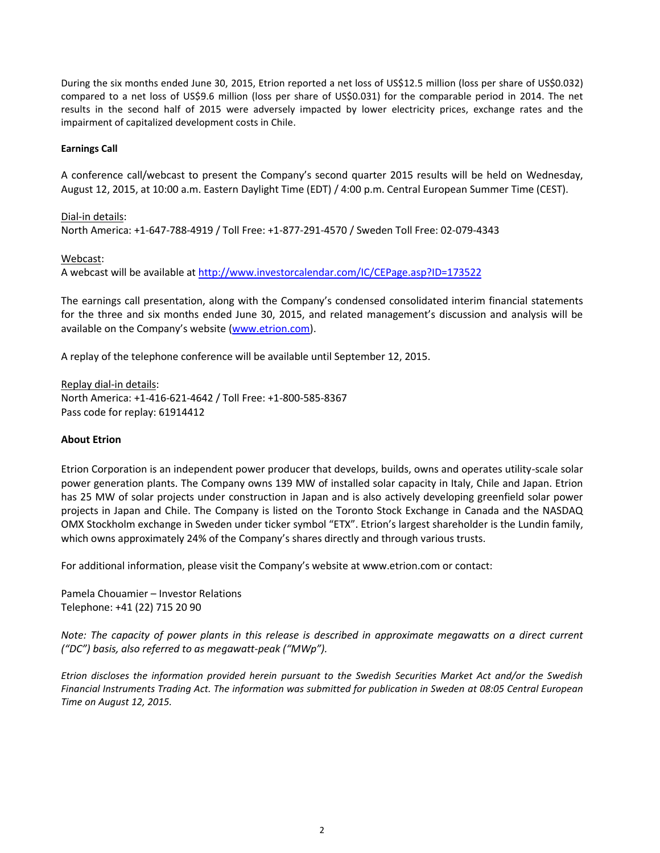During the six months ended June 30, 2015, Etrion reported a net loss of US\$12.5 million (loss per share of US\$0.032) compared to a net loss of US\$9.6 million (loss per share of US\$0.031) for the comparable period in 2014. The net results in the second half of 2015 were adversely impacted by lower electricity prices, exchange rates and the impairment of capitalized development costs in Chile.

## **Earnings Call**

A conference call/webcast to present the Company's second quarter 2015 results will be held on Wednesday, August 12, 2015, at 10:00 a.m. Eastern Daylight Time (EDT) / 4:00 p.m. Central European Summer Time (CEST).

Dial-in details:

North America: +1-647-788-4919 / Toll Free: +1-877-291-4570 / Sweden Toll Free: 02-079-4343

## Webcast:

A webcast will be available at<http://www.investorcalendar.com/IC/CEPage.asp?ID=173522>

The earnings call presentation, along with the Company's condensed consolidated interim financial statements for the three and six months ended June 30, 2015, and related management's discussion and analysis will be available on the Company's website ([www.etrion.com\)](http://www.etrion.com/).

A replay of the telephone conference will be available until September 12, 2015.

Replay dial-in details: North America: +1-416-621-4642 / Toll Free: +1-800-585-8367 Pass code for replay: 61914412

### **About Etrion**

Etrion Corporation is an independent power producer that develops, builds, owns and operates utility-scale solar power generation plants. The Company owns 139 MW of installed solar capacity in Italy, Chile and Japan. Etrion has 25 MW of solar projects under construction in Japan and is also actively developing greenfield solar power projects in Japan and Chile. The Company is listed on the Toronto Stock Exchange in Canada and the NASDAQ OMX Stockholm exchange in Sweden under ticker symbol "ETX". Etrion's largest shareholder is the Lundin family, which owns approximately 24% of the Company's shares directly and through various trusts.

For additional information, please visit the Company's website at www.etrion.com or contact:

Pamela Chouamier – Investor Relations Telephone: +41 (22) 715 20 90

*Note: The capacity of power plants in this release is described in approximate megawatts on a direct current ("DC") basis, also referred to as megawatt-peak ("MWp").*

*Etrion discloses the information provided herein pursuant to the Swedish Securities Market Act and/or the Swedish Financial Instruments Trading Act. The information was submitted for publication in Sweden at 08:05 Central European Time on August 12, 2015.*